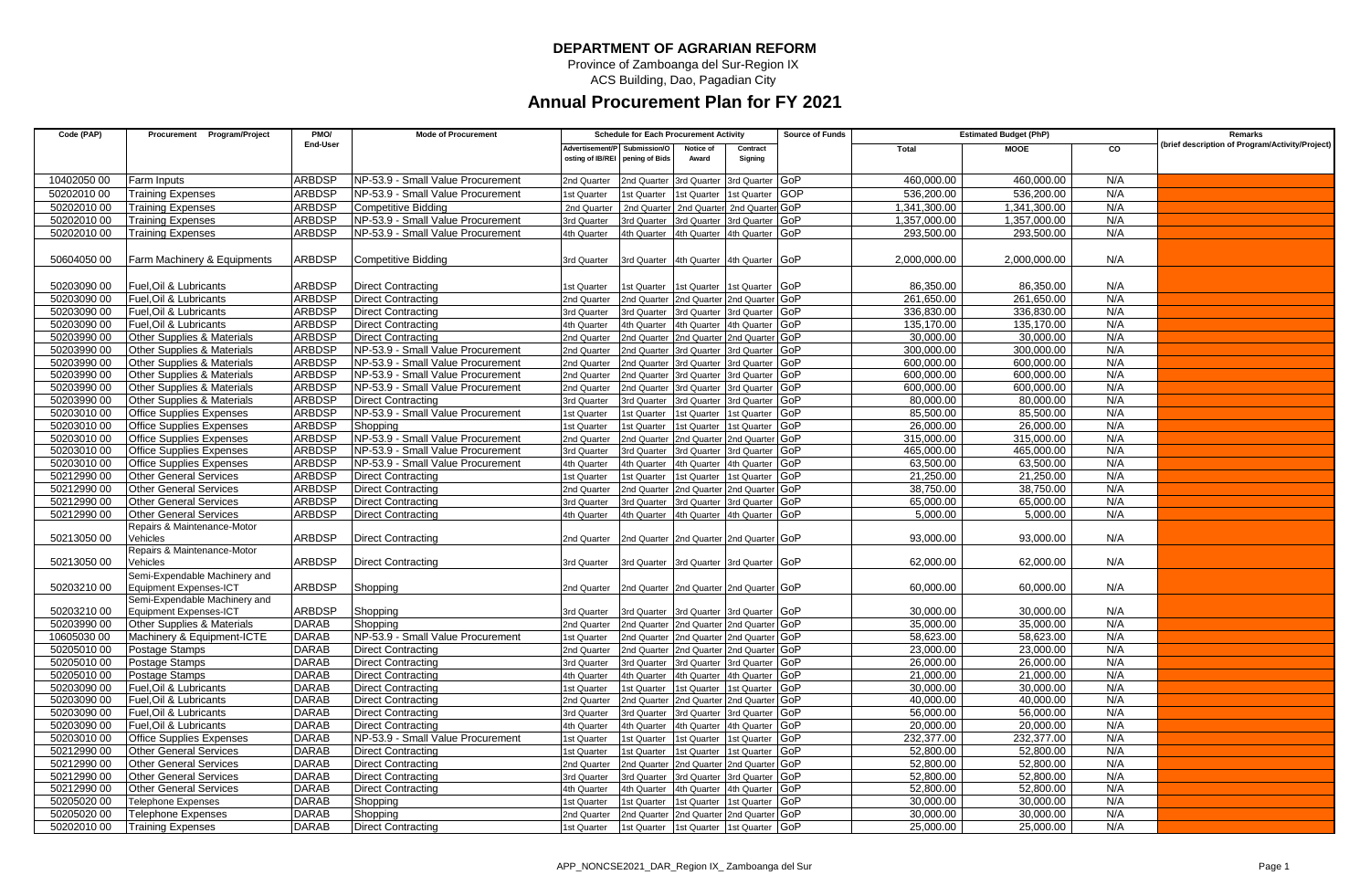## **DEPARTMENT OF AGRARIAN REFORM**

Province of Zamboanga del Sur-Region IX

ACS Building, Dao, Pagadian City

## **Annual Procurement Plan for FY 2021**

| Code (PAP)  | Procurement Program/Project           | PMO/          | <b>Mode of Procurement</b>        | <b>Schedule for Each Procurement Activity</b> |                              |                    |                                         | <b>Source of Funds</b> |              | <b>Estimated Budget (PhP)</b> | Remarks        |                                                 |
|-------------|---------------------------------------|---------------|-----------------------------------|-----------------------------------------------|------------------------------|--------------------|-----------------------------------------|------------------------|--------------|-------------------------------|----------------|-------------------------------------------------|
|             |                                       | End-User      |                                   |                                               | Advertisement/P Submission/O | Notice of          | Contract                                |                        | Total        | <b>MOOE</b>                   | $\overline{c}$ | (brief description of Program/Activity/Project) |
|             |                                       |               |                                   | osting of IB/REI                              | pening of Bids               | Award              | Signing                                 |                        |              |                               |                |                                                 |
| 10402050 00 | Farm Inputs                           | <b>ARBDSP</b> | NP-53.9 - Small Value Procurement | 2nd Quarter                                   | 2nd Quarter                  | <b>Brd Quarter</b> | <b>Brd Quarter GoP</b>                  |                        | 460.000.00   | 460.000.00                    | N/A            |                                                 |
| 50202010 00 | <b>Training Expenses</b>              | <b>ARBDSP</b> | NP-53.9 - Small Value Procurement | 1st Quarter                                   | st Quarter                   | st Quarter         | st Quarter                              | <b>GOP</b>             | 536,200.00   | 536,200.00                    | N/A            |                                                 |
| 50202010 00 | <b>Training Expenses</b>              | <b>ARBDSP</b> | <b>Competitive Bidding</b>        | 2nd Quarter                                   | 2nd Quarter                  | 2nd Quarter        | 2nd Quarter GoP                         |                        | 1,341,300.00 | 1,341,300.00                  | N/A            |                                                 |
| 50202010 00 | Training Expenses                     | ARBDSP        | NP-53.9 - Small Value Procurement | 3rd Quarter                                   | rd Quarter                   | <b>Ird Quarter</b> | <b>Brd Quarter GOP</b>                  |                        | 1.357.000.00 | 1.357.000.00                  | N/A            |                                                 |
| 50202010 00 | <b>Training Expenses</b>              | ARBDSP        | NP-53.9 - Small Value Procurement | 4th Quarter                                   | th Quarter                   |                    | 4th Quarter 4th Quarter GoP             |                        | 293,500.00   | 293,500.00                    | N/A            |                                                 |
|             |                                       |               |                                   |                                               |                              |                    |                                         |                        |              |                               |                |                                                 |
| 50604050 00 | Farm Machinery & Equipments           | ARBDSP        | <b>Competitive Bidding</b>        | 3rd Quarter                                   |                              |                    | 3rd Quarter 4th Quarter 4th Quarter GoP |                        | 2,000,000.00 | 2,000,000.00                  | N/A            |                                                 |
|             |                                       |               |                                   |                                               |                              |                    |                                         |                        |              |                               |                |                                                 |
| 50203090 00 | Fuel.Oil & Lubricants                 | ARBDSP        | Direct Contracting                | <b>Ist Quarter</b>                            | st Quarter                   |                    | st Quarter 1st Quarter GoP              |                        | 86.350.00    | 86.350.00                     | N/A            |                                                 |
| 50203090 00 | Fuel.Oil & Lubricants                 | ARBDSP        | <b>Direct Contracting</b>         | 2nd Quarter                                   | nd Quarter                   |                    | 2nd Quarter 2nd Quarter GOP             |                        | 261,650.00   | 261,650.00                    | N/A            |                                                 |
| 50203090 00 | Fuel, Oil & Lubricants                | <b>ARBDSP</b> | <b>Direct Contracting</b>         | 3rd Quarter                                   | 3rd Quarter                  | 3rd Quarter        | 3rd Quarter GoP                         |                        | 336,830.00   | 336,830.00                    | N/A            |                                                 |
| 50203090 00 | Fuel.Oil & Lubricants                 | <b>ARBDSP</b> | <b>Direct Contracting</b>         | 4th Quarter                                   | 4th Quarter                  | 4th Quarter        | 4th Quarter GoP                         |                        | 135.170.00   | 135.170.00                    | N/A            |                                                 |
| 50203990 00 | Other Supplies & Materials            | <b>ARBDSP</b> | <b>Direct Contracting</b>         | 2nd Quarter                                   | nd Quarter                   | Ind Quarter        | 2nd Quarter GoP                         |                        | 30.000.00    | 30.000.00                     | N/A            |                                                 |
| 50203990 00 | Other Supplies & Materials            | ARBDSP        | NP-53.9 - Small Value Procurement | 2nd Quarter                                   | nd Quarter                   | 3rd Quarter        | 3rd Quarter                             | GoP                    | 300,000.00   | 300,000.00                    | N/A            |                                                 |
| 50203990 00 | Other Supplies & Materials            | <b>ARBDSP</b> | NP-53.9 - Small Value Procurement | 2nd Quarter                                   | nd Quarter                   | rd Quarter         | <b>Ind Quarter</b>                      | GoP                    | 600,000.00   | 600,000.00                    | N/A            |                                                 |
| 50203990 00 | <b>Other Supplies &amp; Materials</b> | <b>ARBDSP</b> | NP-53.9 - Small Value Procurement | 2nd Quarter                                   | nd Quarter                   | <b>Ind Quarter</b> | <b>Ind Quarter</b>                      | GoP                    | 600.000.00   | 600.000.00                    | N/A            |                                                 |
| 50203990 00 | Other Supplies & Materials            | <b>ARBDSP</b> | NP-53.9 - Small Value Procurement | 2nd Quarter                                   | nd Quarte                    | <b>Brd Quarter</b> | 3rd Quarter                             | GoP                    | 600,000.00   | 600,000.00                    | N/A            |                                                 |
| 50203990 00 | Other Supplies & Materials            | ARBDSP        | <b>Direct Contracting</b>         | 3rd Quarter                                   | rd Quarter                   | rd Quarter         | <b>Ind Quarter</b>                      | GoP                    | 80,000.00    | 80,000.00                     | N/A            |                                                 |
| 50203010 00 | <b>Office Supplies Expenses</b>       | <b>ARBDSP</b> | NP-53.9 - Small Value Procurement | 1st Quarter                                   | st Quarte                    | st Quarter         | st Quarter                              | GoP                    | 85,500.00    | 85,500.00                     | N/A            |                                                 |
| 50203010 00 | <b>Office Supplies Expenses</b>       | <b>ARBDSP</b> | Shopping                          | 1st Quarter                                   | st Quarter                   | st Quarter         | 1st Quarter                             | GoP                    | 26.000.00    | 26.000.00                     | N/A            |                                                 |
| 50203010 00 | <b>Office Supplies Expenses</b>       | ARBDSP        | NP-53.9 - Small Value Procurement | 2nd Quarter                                   | nd Quarter                   | nd Quarter         | Ind Quarter                             | GoP                    | 315.000.00   | 315.000.00                    | N/A            |                                                 |
| 50203010 00 | <b>Office Supplies Expenses</b>       | <b>ARBDSP</b> | NP-53.9 - Small Value Procurement | 3rd Quarter                                   | rd Quarter                   | <b>Ird Quarter</b> | 3rd Quarter                             | GoP                    | 465,000.00   | 465,000.00                    | N/A            |                                                 |
| 50203010 00 | <b>Office Supplies Expenses</b>       | <b>ARBDSP</b> | NP-53.9 - Small Value Procurement | 4th Quarter                                   | 4th Quarter                  | 4th Quarter        | 4th Quarter                             | GoP                    | 63.500.00    | 63.500.00                     | N/A            |                                                 |
| 50212990 00 | <b>Other General Services</b>         | ARBDSP        | <b>Direct Contracting</b>         | Ist Quarter                                   | st Quarter                   | st Quarter         | st Quarter GoP                          |                        | 21.250.00    | 21.250.00                     | N/A            |                                                 |
| 50212990 00 | <b>Other General Services</b>         | ARBDSP        | <b>Direct Contracting</b>         | 2nd Quarter                                   | nd Quarter                   | nd Quarter         | 2nd Quarter                             | GoP                    | 38.750.00    | 38,750.00                     | N/A            |                                                 |
| 50212990 00 | <b>Other General Services</b>         | <b>ARBDSP</b> | <b>Direct Contracting</b>         | 3rd Quarter                                   | <b>rd Quarter</b>            | <b>Ird Quarter</b> | 3rd Quarter                             | GoP                    | 65,000.00    | 65,000.00                     | N/A            |                                                 |
| 50212990 00 | <b>Other General Services</b>         | ARBDSP        | <b>Direct Contracting</b>         | <b>4th Quarter</b>                            | th Quarter                   | th Quarter         | 4th Quarter GoP                         |                        | 5.000.00     | 5.000.00                      | N/A            |                                                 |
|             | Repairs & Maintenance-Motor           |               |                                   |                                               |                              |                    |                                         |                        |              |                               |                |                                                 |
| 50213050 00 | √ehicles                              | <b>ARBDSP</b> | Direct Contracting                | 2nd Quarter                                   |                              |                    | 2nd Quarter 2nd Quarter 2nd Quarter GoP |                        | 93,000.00    | 93,000.00                     | N/A            |                                                 |
|             | Repairs & Maintenance-Motor           |               |                                   |                                               |                              |                    |                                         |                        |              |                               |                |                                                 |
| 50213050 00 | √ehicles                              | <b>ARBDSP</b> | <b>Direct Contracting</b>         | 3rd Quarter                                   | 3rd Quarter                  |                    | 3rd Quarter 3rd Quarter GoP             |                        | 62.000.00    | 62,000.00                     | N/A            |                                                 |
|             | Semi-Expendable Machinery and         |               |                                   |                                               |                              |                    |                                         |                        |              |                               |                |                                                 |
| 50203210 00 | Equipment Expenses-ICT                | <b>ARBDSP</b> | Shopping                          | 2nd Quarter                                   |                              |                    | 2nd Quarter 2nd Quarter 2nd Quarter GoP |                        | 60.000.00    | 60.000.00                     | N/A            |                                                 |
|             | Semi-Expendable Machinery and         |               |                                   |                                               |                              |                    |                                         |                        |              |                               |                |                                                 |
| 50203210 00 | <b>Equipment Expenses-ICT</b>         | ARBDSP        | Shopping                          | 3rd Quarter                                   | 3rd Quarter                  |                    | 3rd Quarter 3rd Quarter GoP             |                        | 30,000.00    | 30,000.00                     | N/A            |                                                 |
| 50203990 00 | <b>Other Supplies &amp; Materials</b> | <b>DARAB</b>  | Shopping                          | 2nd Quarter                                   | Ind Quarter                  |                    | nd Quarter 2nd Quarter GoP              |                        | 35.000.00    | 35.000.00                     | N/A            |                                                 |
| 10605030 00 | Machinery & Equipment-ICTE            | <b>DARAB</b>  | NP-53.9 - Small Value Procurement | 1st Quarter                                   | nd Quarter                   |                    | Ind Quarter 2nd Quarter GoP             |                        | 58,623.00    | 58,623.00                     | N/A            |                                                 |
| 50205010 00 | Postage Stamps                        | <b>DARAB</b>  | <b>Direct Contracting</b>         | 2nd Quarter                                   | nd Quarter                   | nd Quarter         | 2nd Quarter GoP                         |                        | 23.000.00    | 23.000.00                     | N/A            |                                                 |
| 50205010 00 | Postage Stamps                        | <b>DARAB</b>  | <b>Direct Contracting</b>         | 3rd Quarter                                   | 3rd Quarter                  | <b>Ird Quarter</b> | <b>Brd Quarter</b>                      | GoP                    | 26,000.00    | 26,000.00                     | N/A            |                                                 |
| 50205010 00 | Postage Stamps                        | <b>DARAB</b>  | <b>Direct Contracting</b>         | 4th Quarter                                   | th Quarter                   | th Quarter         | 4th Quarter GoP                         |                        | 21,000.00    | 21.000.00                     | N/A            |                                                 |
| 50203090 00 | Fuel.Oil & Lubricants                 | <b>DARAB</b>  | <b>Direct Contracting</b>         | 1st Quarter                                   | st Quarter                   | st Quarter         | st Quarter GoP                          |                        | 30.000.00    | 30.000.00                     | N/A            |                                                 |
| 50203090 00 | Fuel, Oil & Lubricants                | <b>DARAB</b>  | <b>Direct Contracting</b>         | 2nd Quarter                                   | nd Quarter                   | nd Quarter         | 2nd Quarter                             | GoP                    | 40,000.00    | 40,000.00                     | N/A            |                                                 |
| 50203090 00 | Fuel.Oil & Lubricants                 | <b>DARAB</b>  | <b>Direct Contracting</b>         | 3rd Quarter                                   | rd Quarter                   | <b>Ird Quarter</b> | <b>Brd Quarter GOP</b>                  |                        | 56.000.00    | 56.000.00                     | N/A            |                                                 |
| 50203090 00 | Fuel.Oil & Lubricants                 | <b>DARAB</b>  | <b>Direct Contracting</b>         | 4th Quarter                                   | th Quarter                   | th Quarter         | 4th Quarter GoP                         |                        | 20.000.00    | 20.000.00                     | N/A            |                                                 |
| 50203010 00 | <b>Office Supplies Expenses</b>       | <b>DARAB</b>  | NP-53.9 - Small Value Procurement | 1st Quarter                                   | st Quarter                   | st Quarter         | st Quarter                              | GoP                    | 232,377.00   | 232.377.00                    | N/A            |                                                 |
| 50212990 00 | <b>Other General Services</b>         | <b>DARAB</b>  | <b>Direct Contracting</b>         | 1st Quarter                                   | st Quarter                   | st Quarter         | 1st Quarter GoP                         |                        | 52,800.00    | 52,800.00                     | N/A            |                                                 |
| 50212990 00 | <b>Other General Services</b>         | <b>DARAB</b>  | <b>Direct Contracting</b>         | 2nd Quarte                                    | nd Quarter                   | nd Quarter         | nd Quarter GoP                          |                        | 52.800.00    | 52.800.00                     | N/A            |                                                 |
| 50212990 00 | <b>Other General Services</b>         | <b>DARAB</b>  | <b>Direct Contracting</b>         | 3rd Quarter                                   | rd Quarter                   | rd Quarter         | <b>Ird Quarter</b>                      | GoP                    | 52.800.00    | 52.800.00                     | N/A            |                                                 |
| 50212990 00 | <b>Other General Services</b>         | <b>DARAB</b>  | <b>Direct Contracting</b>         | 4th Quarter                                   | th Quarter                   | th Quarter         | 4th Quarter GoP                         |                        | 52,800.00    | 52,800.00                     | N/A            |                                                 |
| 50205020 00 | Telephone Expenses                    | <b>DARAB</b>  | Shopping                          | 1st Quarter                                   | st Quarter                   | st Quarter         | st Quarter GoP                          |                        | 30.000.00    | 30.000.00                     | N/A            |                                                 |
| 50205020 00 | <b>Telephone Expenses</b>             | <b>DARAB</b>  | Shopping                          | 2nd Quarter                                   | 2nd Quarter                  | Ind Quarter        | 2nd Quarter                             | GoP                    | 30.000.00    | 30.000.00                     | N/A            |                                                 |
| 50202010 00 | <b>Training Expenses</b>              | <b>DARAB</b>  | <b>Direct Contracting</b>         | 1st Quarter                                   | 1st Quarter                  |                    | Ist Quarter 1st Quarter GoP             |                        | 25,000.00    | 25,000.00                     | N/A            |                                                 |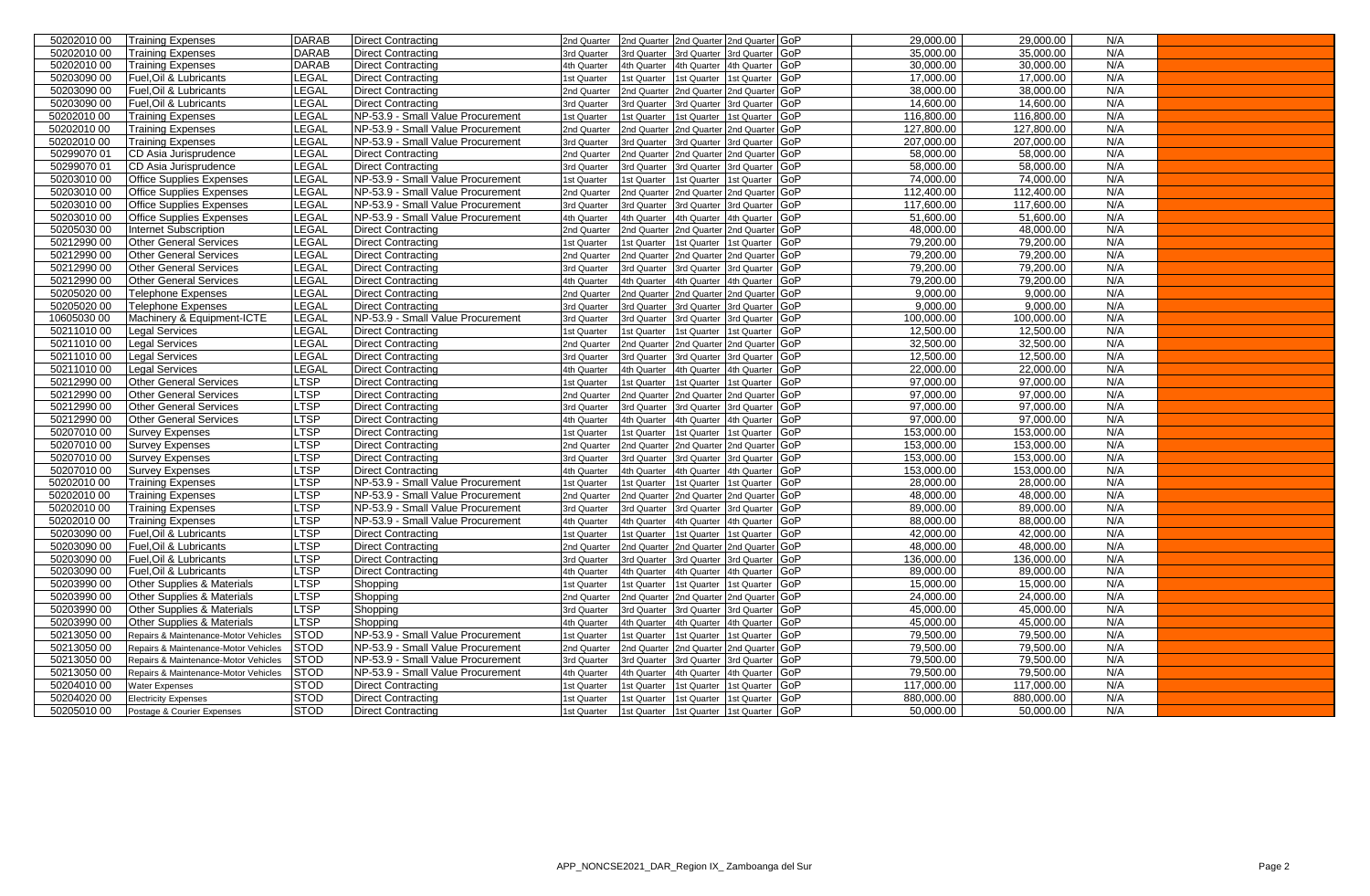| 50202010 00 | <b>Training Expenses</b>                         | <b>DARAB</b> | <b>Direct Contracting</b>                              | 2nd Quarter | 2nd Quarter 2nd Quarter 2nd Quarter GoP                 |                           | 29,000.00               | 29,000.00               | N/A        |  |
|-------------|--------------------------------------------------|--------------|--------------------------------------------------------|-------------|---------------------------------------------------------|---------------------------|-------------------------|-------------------------|------------|--|
| 50202010 00 | <b>Training Expenses</b>                         | <b>DARAB</b> | <b>Direct Contracting</b>                              | 3rd Quarter | 3rd Quarter<br>3rd Quarter                              | 3rd Quarter GoP           | 35,000.00               | 35,000.00               | N/A        |  |
| 50202010 00 | <b>Training Expenses</b>                         | <b>DARAB</b> | <b>Direct Contracting</b>                              | 4th Quarter | 4th Quarter<br>4th Quarter                              | 4th Quarter GoP           | 30,000.00               | 30,000.00               | N/A        |  |
| 50203090 00 | Fuel, Oil & Lubricants                           | <b>LEGAL</b> | <b>Direct Contracting</b>                              | 1st Quarter | st Quarter<br>1st Quarter                               | 1st Quarter GoP           | 17,000.00               | 17,000.00               | N/A        |  |
| 50203090 00 | Fuel, Oil & Lubricants                           | LEGAL        | <b>Direct Contracting</b>                              | 2nd Quarter | 2nd Quarter<br>2nd Quarter                              | 2nd Quarter GoP           | 38,000.00               | 38,000.00               | N/A        |  |
| 50203090 00 | Fuel, Oil & Lubricants                           | <b>LEGAL</b> | <b>Direct Contracting</b>                              | 3rd Quarter | 3rd Quarter<br><b>rd Quarter</b>                        | 3rd Quarter GoP           | 14,600.00               | 14,600.00               | N/A        |  |
| 50202010 00 | <b>Training Expenses</b>                         | <b>LEGAL</b> | NP-53.9 - Small Value Procurement                      | 1st Quarter | 1st Quarter<br>st Quarter                               | GoP<br>st Quarter         | 116,800.00              | 116,800.00              | N/A        |  |
| 50202010 00 | <b>Training Expenses</b>                         | <b>LEGAL</b> | NP-53.9 - Small Value Procurement                      | 2nd Quarter | 2nd Quarter<br>2nd Quarter                              | 2nd Quarter GoP           | 127,800.00              | 127,800.00              | N/A        |  |
| 50202010 00 | <b>Training Expenses</b>                         | <b>LEGAL</b> | NP-53.9 - Small Value Procurement                      | 3rd Quarter | 3rd Quarter<br>3rd Quarter                              | 3rd Quarter GoP           | 207,000.00              | 207,000.00              | N/A        |  |
| 50299070 01 | CD Asia Jurisprudence                            | <b>LEGAL</b> | <b>Direct Contracting</b>                              | 2nd Quarter | 2nd Quarter<br>2nd Quarter                              | 2nd Quarter GoP           | 58,000.00               | 58,000.00               | N/A        |  |
| 50299070 01 | CD Asia Jurisprudence                            | <b>LEGAL</b> | <b>Direct Contracting</b>                              | 3rd Quarter | 3rd Quarter<br>3rd Quarter                              | 3rd Quarter GoP           | 58,000.00               | 58,000.00               | N/A        |  |
| 50203010 00 | <b>Office Supplies Expenses</b>                  | <b>LEGAL</b> | NP-53.9 - Small Value Procurement                      | 1st Quarter | <b>st Quarter</b><br>st Quarter                         | 1st Quarter GoP           | 74,000.00               | 74,000.00               | N/A        |  |
| 50203010 00 | <b>Office Supplies Expenses</b>                  | LEGAL        | NP-53.9 - Small Value Procurement                      | 2nd Quarter | 2nd Quarter 2nd Quarter 2nd Quarter GoP                 |                           | 112,400.00              | 112,400.00              | N/A        |  |
| 50203010 00 | <b>Office Supplies Expenses</b>                  | <b>LEGAL</b> | NP-53.9 - Small Value Procurement                      | 3rd Quarter | 3rd Quarter<br>3rd Quarter                              | 3rd Quarter GoP           | 117,600.00              | 117,600.00              | N/A        |  |
| 50203010 00 | <b>Office Supplies Expenses</b>                  | <b>LEGAL</b> | NP-53.9 - Small Value Procurement                      | 4th Quarter | 4th Quarter<br>4th Quarter                              | 4th Quarter GoP           | 51,600.00               | 51,600.00               | N/A        |  |
| 50205030 00 | <b>Internet Subscription</b>                     | <b>LEGAL</b> | <b>Direct Contracting</b>                              | 2nd Quarter | 2nd Quarter 2nd Quarter 2nd Quarter GoP                 |                           | 48,000.00               | 48,000.00               | N/A        |  |
| 50212990 00 | <b>Other General Services</b>                    | LEGAL        | <b>Direct Contracting</b>                              | 1st Quarter | st Quarter<br>1st Quarter                               | 1st Quarter GoP           | 79,200.00               | 79,200.00               | N/A        |  |
| 50212990 00 | <b>Other General Services</b>                    | <b>LEGAL</b> | <b>Direct Contracting</b>                              | 2nd Quarter | 2nd Quarter<br>2nd Quarter                              | 2nd Quarter GoP           | 79,200.00               | 79,200.00               | N/A        |  |
| 50212990 00 | <b>Other General Services</b>                    | <b>LEGAL</b> | <b>Direct Contracting</b>                              | 3rd Quarter | 3rd Quarter<br>3rd Quarter                              | 3rd Quarter GoP           | 79,200.00               | 79,200.00               | N/A        |  |
| 50212990 00 | <b>Other General Services</b>                    | <b>LEGAL</b> | <b>Direct Contracting</b>                              | 4th Quarter | 4th Quarter<br>4th Quarter                              | 4th Quarter GoP           | 79,200.00               | 79,200.00               | N/A        |  |
| 50205020 00 | <b>Telephone Expenses</b>                        | <b>LEGAL</b> | <b>Direct Contracting</b>                              | 2nd Quarter | 2nd Quarter 2nd Quarter 2nd Quarter GoP                 |                           | 9,000.00                | 9,000.00                | N/A        |  |
| 50205020 00 | Telephone Expenses                               | <b>LEGAL</b> | <b>Direct Contracting</b>                              | 3rd Quarter | 3rd Quarter<br>3rd Quarter                              | 3rd Quarter GoP           | 9,000.00                | 9,000.00                | N/A        |  |
| 10605030 00 | Machinery & Equipment-ICTE                       | <b>LEGAL</b> | NP-53.9 - Small Value Procurement                      | 3rd Quarter | 3rd Quarter<br>3rd Quarter                              | 3rd Quarter GoP           | 100,000.00              | 100,000.00              | N/A        |  |
| 5021101000  | Legal Services                                   | <b>LEGAL</b> | <b>Direct Contracting</b>                              | 1st Quarter | 1st Quarter<br>1st Quarter                              | 1st Quarter GoP           | 12,500.00               | 12,500.00               | N/A        |  |
| 50211010 00 | <b>Legal Services</b>                            | <b>LEGAL</b> | <b>Direct Contracting</b>                              | 2nd Quarter | 2nd Quarter<br>2nd Quarter                              | 2nd Quarter GoP           | 32,500.00               | 32,500.00               | N/A        |  |
| 5021101000  | <b>Legal Services</b>                            | <b>LEGAL</b> | <b>Direct Contracting</b>                              | 3rd Quarter | 3rd Quarter<br>3rd Quarter                              | 3rd Quarter GoP           | 12,500.00               | 12,500.00               | N/A        |  |
| 5021101000  | <b>Legal Services</b>                            | <b>LEGAL</b> | <b>Direct Contracting</b>                              | 4th Quarter | 4th Quarter<br>4th Quarter                              | 4th Quarter GoP           | 22,000.00               | 22,000.00               | N/A        |  |
| 50212990 00 | <b>Other General Services</b>                    | <b>LTSP</b>  | <b>Direct Contracting</b>                              | 1st Quarter | 1st Quarter<br>st Quarter                               | 1st Quarter GoP           | 97,000.00               | 97,000.00               | N/A        |  |
| 50212990 00 | <b>Other General Services</b>                    | <b>LTSP</b>  | <b>Direct Contracting</b>                              | 2nd Quarter | 2nd Quarter 2nd Quarter                                 | 2nd Quarter GoP           | 97,000.00               | 97.000.00               | N/A        |  |
| 50212990 00 | <b>Other General Services</b>                    | <b>LTSP</b>  | <b>Direct Contracting</b>                              | 3rd Quarter | 3rd Quarter<br><b>rd Quarter</b>                        | 3rd Quarter GoP           | 97.000.00               | 97.000.00               | N/A        |  |
| 50212990 00 | <b>Other General Services</b>                    | <b>LTSP</b>  | <b>Direct Contracting</b>                              | 4th Quarter | 4th Quarter<br>4th Quarter                              | 4th Quarter GoP           | 97,000.00               | 97,000.00               | N/A        |  |
| 50207010 00 |                                                  | <b>LTSP</b>  |                                                        | 1st Quarter | 1st Quarter<br>st Quarter                               | 1st Quarter GoP           | 153.000.00              | 153.000.00              | N/A        |  |
| 50207010 00 | <b>Survey Expenses</b><br><b>Survey Expenses</b> | <b>LTSP</b>  | <b>Direct Contracting</b>                              | 2nd Quarter |                                                         | 2nd Quarter GoP           | 153,000.00              | 153,000.00              | N/A        |  |
| 50207010 00 | <b>Survey Expenses</b>                           | <b>LTSP</b>  | <b>Direct Contracting</b><br><b>Direct Contracting</b> | 3rd Quarter | 2nd Quarter<br>2nd Quarter<br>3rd Quarter<br>rd Quarter | rd Quarter GoP            | 153,000.00              | 153,000.00              | N/A        |  |
| 50207010 00 |                                                  | <b>LTSP</b>  |                                                        |             |                                                         | GoP<br>4th Quarter        | 153.000.00              | 153.000.00              | N/A        |  |
|             | <b>Survey Expenses</b>                           |              | <b>Direct Contracting</b>                              | 4th Quarter | 4th Quarter<br>4th Quarter                              | st Quarter GoP            | 28,000.00               | 28,000.00               |            |  |
| 50202010 00 | <b>Training Expenses</b>                         | <b>LTSP</b>  | NP-53.9 - Small Value Procurement                      | 1st Quarter | st Quarter<br>st Quarter                                |                           |                         |                         | N/A<br>N/A |  |
| 50202010 00 | <b>Training Expenses</b>                         | LTSP         | NP-53.9 - Small Value Procurement                      | 2nd Quarter | 2nd Quarter<br>2nd Quarter                              | 2nd Quarter GoP           | 48,000.00<br>89.000.00  | 48,000.00<br>89.000.00  | N/A        |  |
| 50202010 00 | <b>Training Expenses</b>                         | <b>LTSP</b>  | NP-53.9 - Small Value Procurement                      | 3rd Quarter | 3rd Quarter<br>rd Quarter                               | rd Quarter GoP<br>GoP     |                         |                         | N/A        |  |
| 50202010 00 | <b>Training Expenses</b>                         | <b>LTSP</b>  | NP-53.9 - Small Value Procurement                      | 4th Quarter | 4th Quarter<br>4th Quarter                              | 4th Quarter               | 88,000.00<br>42.000.00  | 88,000.00<br>42.000.00  |            |  |
| 50203090 00 | Fuel, Oil & Lubricants                           | <b>LTSP</b>  | <b>Direct Contracting</b>                              | 1st Quarter | st Quarter<br>1st Quarter                               | st Quarter GoP            |                         |                         | N/A        |  |
| 50203090 00 | Fuel, Oil & Lubricants                           | <b>LTSP</b>  | <b>Direct Contracting</b>                              | 2nd Quarter | 2nd Quarter<br>2nd Quarter                              | 2nd Quarter GoP           | 48,000.00<br>136.000.00 | 48,000.00<br>136.000.00 | N/A<br>N/A |  |
| 50203090 00 | Fuel, Oil & Lubricants                           | <b>LTSP</b>  | <b>Direct Contracting</b>                              | 3rd Quarter | 3rd Quarter<br><b>rd Quarter</b>                        | 3rd Quarter GoP<br>GoP    |                         |                         |            |  |
| 50203090 00 | Fuel, Oil & Lubricants                           | <b>LTSP</b>  | <b>Direct Contracting</b>                              | 4th Quarter | 4th Quarter<br>4th Quarter                              | 4th Quarter               | 89,000.00               | 89,000.00               | N/A        |  |
| 50203990 00 | Other Supplies & Materials                       | LTSP         | Shopping                                               | 1st Quarter | 1st Quarter<br>st Quarter                               | 1st Quarter GoP           | 15,000.00               | 15,000.00               | N/A        |  |
| 50203990 00 | Other Supplies & Materials                       | <b>LTSP</b>  | Shopping                                               | 2nd Quarter | 2nd Quarter<br>2nd Quarter                              | 2nd Quarter GoP           | 24,000.00               | 24,000.00               | N/A        |  |
| 50203990 00 | Other Supplies & Materials                       | LTSP         | Shopping                                               | 3rd Quarter | 3rd Quarter<br>rd Quarter                               | GoP<br><b>Ird Quarter</b> | 45,000.00               | 45,000.00               | N/A        |  |
| 50203990 00 | Other Supplies & Materials                       | <b>LTSP</b>  | Shopping                                               | 4th Quarter | 4th Quarter<br>4th Quarter                              | <b>GoP</b><br>4th Quarter | 45,000.00               | 45,000.00               | N/A        |  |
| 50213050 00 | Repairs & Maintenance-Motor Vehicles             | <b>STOD</b>  | NP-53.9 - Small Value Procurement                      | 1st Quarter | 1st Quarter<br>1st Quarter                              | 1st Quarter GoP           | 79,500.00               | 79,500.00               | N/A        |  |
| 50213050 00 | Repairs & Maintenance-Motor Vehicles             | <b>STOD</b>  | NP-53.9 - Small Value Procurement                      | 2nd Quarter | 2nd Quarter<br>2nd Quarter                              | 2nd Quarter GoP           | 79,500.00               | 79,500.00               | N/A        |  |
| 50213050 00 | Repairs & Maintenance-Motor Vehicles             | <b>STOD</b>  | NP-53.9 - Small Value Procurement                      | 3rd Quarter | 3rd Quarter<br>3rd Quarter                              | 3rd Quarter GoP           | 79,500.00               | 79,500.00               | N/A        |  |
| 50213050 00 | Repairs & Maintenance-Motor Vehicles             | <b>STOD</b>  | NP-53.9 - Small Value Procurement                      | 4th Quarter | 4th Quarter<br>4th Quarter                              | 4th Quarter GoP           | 79,500.00               | 79,500.00               | N/A        |  |
| 50204010 00 | Water Expenses                                   | <b>STOD</b>  | <b>Direct Contracting</b>                              | 1st Quarter | st Quarter<br>st Quarter                                | GoP<br>st Quarter         | 117,000.00              | 117,000.00              | N/A        |  |
| 50204020 00 | <b>Electricity Expenses</b>                      | <b>STOD</b>  | <b>Direct Contracting</b>                              | 1st Quarter | 1st Quarter<br>st Quarter                               | 1st Quarter GoP           | 880,000.00              | 880,000.00              | N/A        |  |
| 50205010 00 | Postage & Courier Expenses                       | <b>STOD</b>  | <b>Direct Contracting</b>                              | 1st Quarter | 1st Quarter 1st Quarter 1st Quarter GoP                 |                           | 50,000.00               | 50,000.00               | N/A        |  |